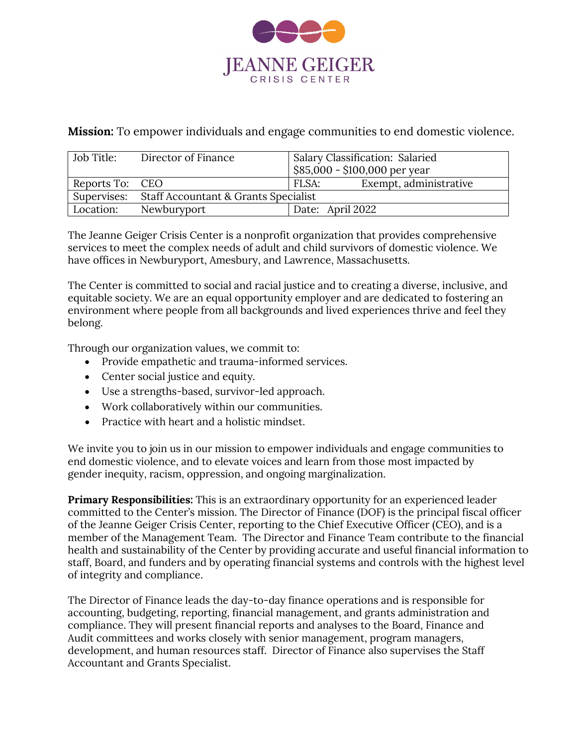

**Mission:** To empower individuals and engage communities to end domestic violence.

| Job Title:      | Director of Finance                              | Salary Classification: Salaried<br>$$85,000 - $100,000$ per year |
|-----------------|--------------------------------------------------|------------------------------------------------------------------|
| Reports To: CEO |                                                  | Exempt, administrative<br>FLSA:                                  |
|                 | Supervises: Staff Accountant & Grants Specialist |                                                                  |
| Location:       | Newburyport                                      | Date: April 2022                                                 |

The Jeanne Geiger Crisis Center is a nonprofit organization that provides comprehensive services to meet the complex needs of adult and child survivors of domestic violence. We have offices in Newburyport, Amesbury, and Lawrence, Massachusetts.

The Center is committed to social and racial justice and to creating a diverse, inclusive, and equitable society. We are an equal opportunity employer and are dedicated to fostering an environment where people from all backgrounds and lived experiences thrive and feel they belong.

Through our organization values, we commit to:

- Provide empathetic and trauma-informed services.
- Center social justice and equity.
- Use a strengths-based, survivor-led approach.
- Work collaboratively within our communities.
- Practice with heart and a holistic mindset.

We invite you to join us in our mission to empower individuals and engage communities to end domestic violence, and to elevate voices and learn from those most impacted by gender inequity, racism, oppression, and ongoing marginalization.

**Primary Responsibilities:** This is an extraordinary opportunity for an experienced leader committed to the Center's mission. The Director of Finance (DOF) is the principal fiscal officer of the Jeanne Geiger Crisis Center, reporting to the Chief Executive Officer (CEO), and is a member of the Management Team. The Director and Finance Team contribute to the financial health and sustainability of the Center by providing accurate and useful financial information to staff, Board, and funders and by operating financial systems and controls with the highest level of integrity and compliance.

The Director of Finance leads the day-to-day finance operations and is responsible for accounting, budgeting, reporting, financial management, and grants administration and compliance. They will present financial reports and analyses to the Board, Finance and Audit committees and works closely with senior management, program managers, development, and human resources staff. Director of Finance also supervises the Staff Accountant and Grants Specialist.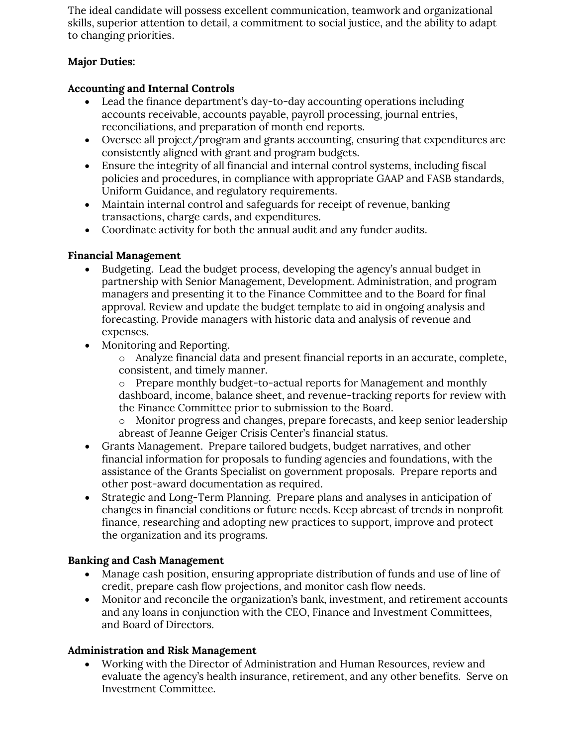The ideal candidate will possess excellent communication, teamwork and organizational skills, superior attention to detail, a commitment to social justice, and the ability to adapt to changing priorities.

# **Major Duties:**

## **Accounting and Internal Controls**

- Lead the finance department's day-to-day accounting operations including accounts receivable, accounts payable, payroll processing, journal entries, reconciliations, and preparation of month end reports.
- Oversee all project/program and grants accounting, ensuring that expenditures are consistently aligned with grant and program budgets.
- Ensure the integrity of all financial and internal control systems, including fiscal policies and procedures, in compliance with appropriate GAAP and FASB standards, Uniform Guidance, and regulatory requirements.
- Maintain internal control and safeguards for receipt of revenue, banking transactions, charge cards, and expenditures.
- Coordinate activity for both the annual audit and any funder audits.

### **Financial Management**

- Budgeting. Lead the budget process, developing the agency's annual budget in partnership with Senior Management, Development. Administration, and program managers and presenting it to the Finance Committee and to the Board for final approval. Review and update the budget template to aid in ongoing analysis and forecasting. Provide managers with historic data and analysis of revenue and expenses.
- Monitoring and Reporting.

o Analyze financial data and present financial reports in an accurate, complete, consistent, and timely manner.

o Prepare monthly budget-to-actual reports for Management and monthly dashboard, income, balance sheet, and revenue-tracking reports for review with the Finance Committee prior to submission to the Board.

o Monitor progress and changes, prepare forecasts, and keep senior leadership abreast of Jeanne Geiger Crisis Center's financial status.

- Grants Management. Prepare tailored budgets, budget narratives, and other financial information for proposals to funding agencies and foundations, with the assistance of the Grants Specialist on government proposals. Prepare reports and other post-award documentation as required.
- Strategic and Long-Term Planning. Prepare plans and analyses in anticipation of changes in financial conditions or future needs. Keep abreast of trends in nonprofit finance, researching and adopting new practices to support, improve and protect the organization and its programs.

### **Banking and Cash Management**

- Manage cash position, ensuring appropriate distribution of funds and use of line of credit, prepare cash flow projections, and monitor cash flow needs.
- Monitor and reconcile the organization's bank, investment, and retirement accounts and any loans in conjunction with the CEO, Finance and Investment Committees, and Board of Directors.

# **Administration and Risk Management**

• Working with the Director of Administration and Human Resources, review and evaluate the agency's health insurance, retirement, and any other benefits. Serve on Investment Committee.